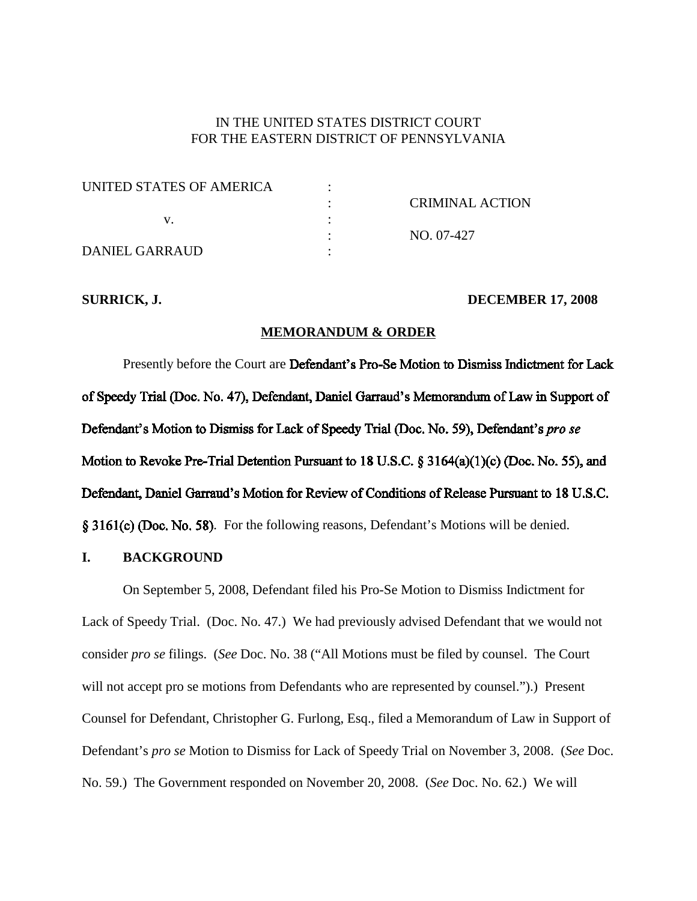## IN THE UNITED STATES DISTRICT COURT FOR THE EASTERN DISTRICT OF PENNSYLVANIA

| UNITED STATES OF AMERICA |                 |
|--------------------------|-----------------|
|                          | CRIMINAL ACTION |
|                          |                 |
|                          | NO. 07-427      |
| DANIEL GARRAUD           |                 |

#### **SURRICK, J. DECEMBER 17, 2008**

## **MEMORANDUM & ORDER**

Presently before the Court are Defendant's Pro-Se Motion to Dismiss Indictment for Lack of Speedy Trial (Doc. No. 47), Defendant, Daniel Garraud's Memorandum of Law in Support of Defendant's Motion to Dismiss for Lack of Speedy Trial (Doc. No. 59), Defendant's pro se Motion to Revoke Pre-Trial Detention Pursuant to 18 U.S.C.  $\S 3164(a)(1)(c)$  (Doc. No. 55), and Defendant, Daniel Garraud's Motion for Review of Conditions of Release Pursuant to 18 U.S.C. § 3161(c) (Doc. No. 58). For the following reasons, Defendant's Motions will be denied.

#### **I. BACKGROUND**

On September 5, 2008, Defendant filed his Pro-Se Motion to Dismiss Indictment for Lack of Speedy Trial. (Doc. No. 47.) We had previously advised Defendant that we would not consider *pro se* filings. (*See* Doc. No. 38 ("All Motions must be filed by counsel. The Court will not accept pro se motions from Defendants who are represented by counsel.").) Present Counsel for Defendant, Christopher G. Furlong, Esq., filed a Memorandum of Law in Support of Defendant's *pro se* Motion to Dismiss for Lack of Speedy Trial on November 3, 2008. (*See* Doc. No. 59.) The Government responded on November 20, 2008. (*See* Doc. No. 62.) We will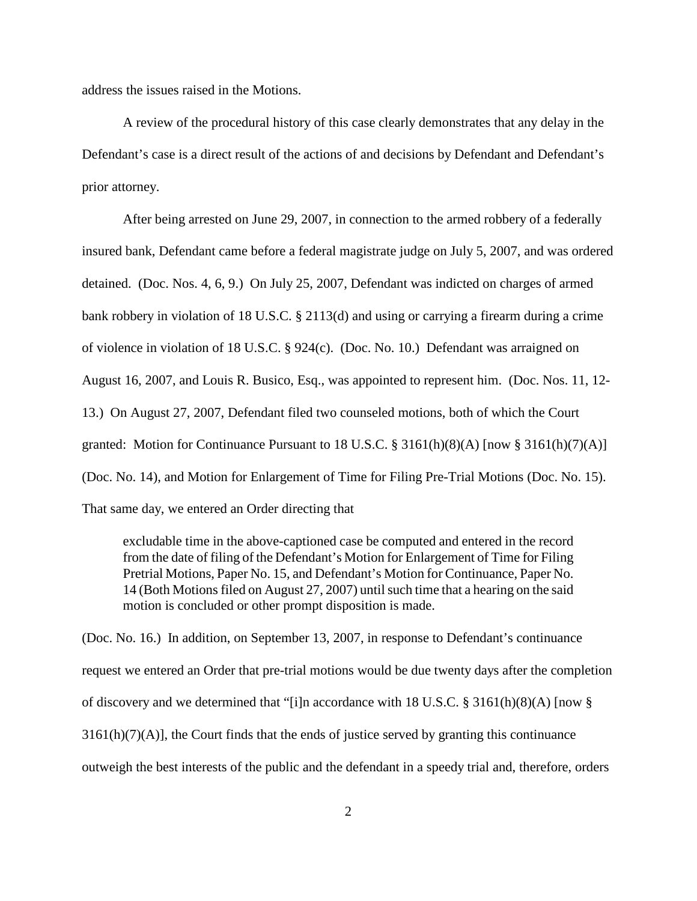address the issues raised in the Motions.

A review of the procedural history of this case clearly demonstrates that any delay in the Defendant's case is a direct result of the actions of and decisions by Defendant and Defendant's prior attorney.

After being arrested on June 29, 2007, in connection to the armed robbery of a federally insured bank, Defendant came before a federal magistrate judge on July 5, 2007, and was ordered detained. (Doc. Nos. 4, 6, 9.) On July 25, 2007, Defendant was indicted on charges of armed bank robbery in violation of 18 U.S.C. § 2113(d) and using or carrying a firearm during a crime of violence in violation of 18 U.S.C. § 924(c). (Doc. No. 10.) Defendant was arraigned on August 16, 2007, and Louis R. Busico, Esq., was appointed to represent him. (Doc. Nos. 11, 12- 13.) On August 27, 2007, Defendant filed two counseled motions, both of which the Court granted: Motion for Continuance Pursuant to 18 U.S.C.  $\S$  3161(h)(8)(A) [now  $\S$  3161(h)(7)(A)] (Doc. No. 14), and Motion for Enlargement of Time for Filing Pre-Trial Motions (Doc. No. 15). That same day, we entered an Order directing that

excludable time in the above-captioned case be computed and entered in the record from the date of filing of the Defendant's Motion for Enlargement of Time for Filing Pretrial Motions, Paper No. 15, and Defendant's Motion for Continuance, Paper No. 14 (Both Motions filed on August 27, 2007) until such time that a hearing on the said motion is concluded or other prompt disposition is made.

(Doc. No. 16.) In addition, on September 13, 2007, in response to Defendant's continuance request we entered an Order that pre-trial motions would be due twenty days after the completion of discovery and we determined that "[i]n accordance with 18 U.S.C. § 3161(h)(8)(A) [now §  $3161(h)(7)(A)$ , the Court finds that the ends of justice served by granting this continuance outweigh the best interests of the public and the defendant in a speedy trial and, therefore, orders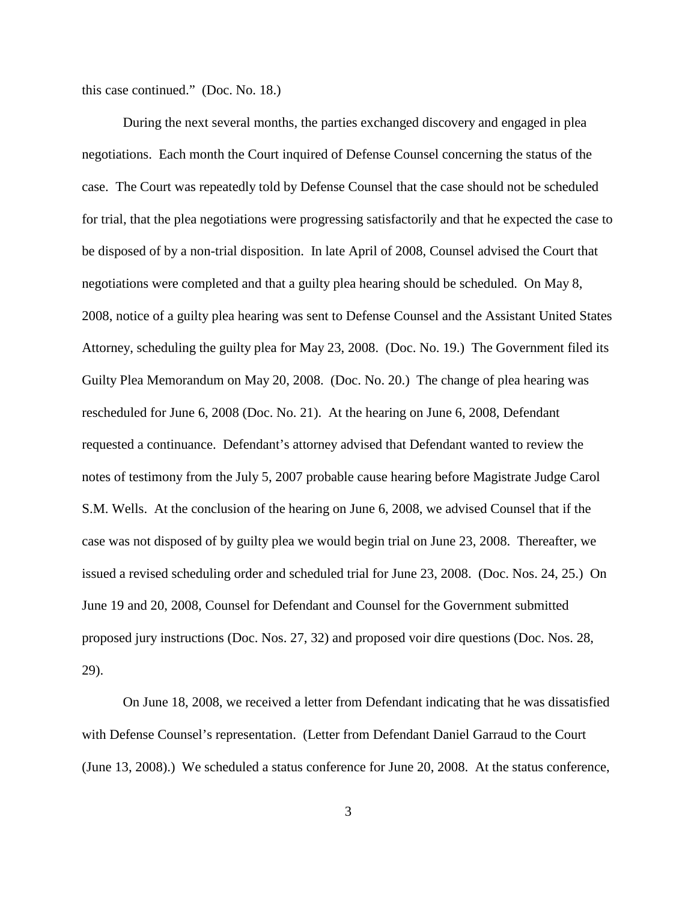this case continued." (Doc. No. 18.)

During the next several months, the parties exchanged discovery and engaged in plea negotiations. Each month the Court inquired of Defense Counsel concerning the status of the case. The Court was repeatedly told by Defense Counsel that the case should not be scheduled for trial, that the plea negotiations were progressing satisfactorily and that he expected the case to be disposed of by a non-trial disposition. In late April of 2008, Counsel advised the Court that negotiations were completed and that a guilty plea hearing should be scheduled. On May 8, 2008, notice of a guilty plea hearing was sent to Defense Counsel and the Assistant United States Attorney, scheduling the guilty plea for May 23, 2008. (Doc. No. 19.) The Government filed its Guilty Plea Memorandum on May 20, 2008. (Doc. No. 20.) The change of plea hearing was rescheduled for June 6, 2008 (Doc. No. 21). At the hearing on June 6, 2008, Defendant requested a continuance. Defendant's attorney advised that Defendant wanted to review the notes of testimony from the July 5, 2007 probable cause hearing before Magistrate Judge Carol S.M. Wells. At the conclusion of the hearing on June 6, 2008, we advised Counsel that if the case was not disposed of by guilty plea we would begin trial on June 23, 2008. Thereafter, we issued a revised scheduling order and scheduled trial for June 23, 2008. (Doc. Nos. 24, 25.) On June 19 and 20, 2008, Counsel for Defendant and Counsel for the Government submitted proposed jury instructions (Doc. Nos. 27, 32) and proposed voir dire questions (Doc. Nos. 28, 29).

On June 18, 2008, we received a letter from Defendant indicating that he was dissatisfied with Defense Counsel's representation. (Letter from Defendant Daniel Garraud to the Court (June 13, 2008).) We scheduled a status conference for June 20, 2008. At the status conference,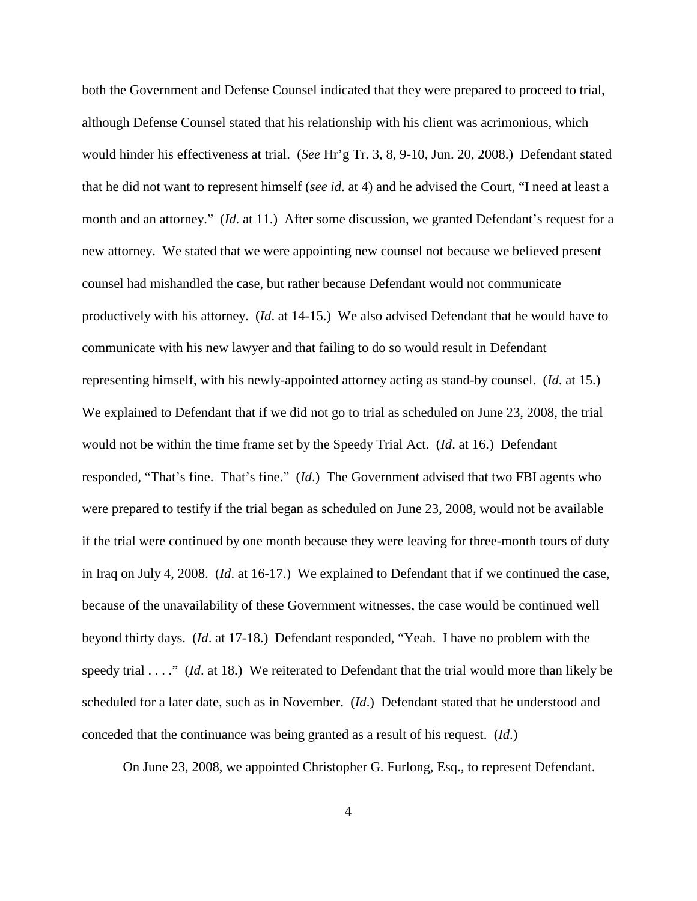both the Government and Defense Counsel indicated that they were prepared to proceed to trial, although Defense Counsel stated that his relationship with his client was acrimonious, which would hinder his effectiveness at trial. (*See* Hr'g Tr. 3, 8, 9-10, Jun. 20, 2008.) Defendant stated that he did not want to represent himself (*see id*. at 4) and he advised the Court, "I need at least a month and an attorney." (*Id*. at 11.) After some discussion, we granted Defendant's request for a new attorney. We stated that we were appointing new counsel not because we believed present counsel had mishandled the case, but rather because Defendant would not communicate productively with his attorney. (*Id*. at 14-15.) We also advised Defendant that he would have to communicate with his new lawyer and that failing to do so would result in Defendant representing himself, with his newly-appointed attorney acting as stand-by counsel. (*Id*. at 15.) We explained to Defendant that if we did not go to trial as scheduled on June 23, 2008, the trial would not be within the time frame set by the Speedy Trial Act. (*Id*. at 16.) Defendant responded, "That's fine. That's fine." (*Id*.) The Government advised that two FBI agents who were prepared to testify if the trial began as scheduled on June 23, 2008, would not be available if the trial were continued by one month because they were leaving for three-month tours of duty in Iraq on July 4, 2008. (*Id*. at 16-17.) We explained to Defendant that if we continued the case, because of the unavailability of these Government witnesses, the case would be continued well beyond thirty days. (*Id*. at 17-18.) Defendant responded, "Yeah. I have no problem with the speedy trial . . . ." (*Id*. at 18.) We reiterated to Defendant that the trial would more than likely be scheduled for a later date, such as in November. (*Id*.) Defendant stated that he understood and conceded that the continuance was being granted as a result of his request. (*Id*.)

On June 23, 2008, we appointed Christopher G. Furlong, Esq., to represent Defendant.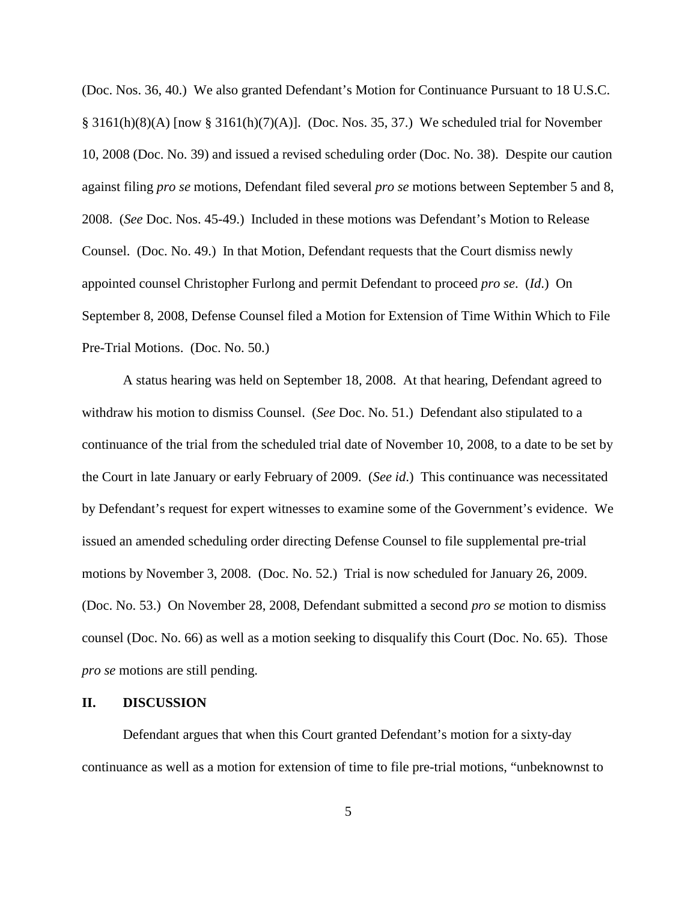(Doc. Nos. 36, 40.) We also granted Defendant's Motion for Continuance Pursuant to 18 U.S.C. § 3161(h)(8)(A) [now § 3161(h)(7)(A)]. (Doc. Nos. 35, 37.) We scheduled trial for November 10, 2008 (Doc. No. 39) and issued a revised scheduling order (Doc. No. 38). Despite our caution against filing *pro se* motions, Defendant filed several *pro se* motions between September 5 and 8, 2008. (*See* Doc. Nos. 45-49.) Included in these motions was Defendant's Motion to Release Counsel. (Doc. No. 49.) In that Motion, Defendant requests that the Court dismiss newly appointed counsel Christopher Furlong and permit Defendant to proceed *pro se*. (*Id*.) On September 8, 2008, Defense Counsel filed a Motion for Extension of Time Within Which to File Pre-Trial Motions. (Doc. No. 50.)

A status hearing was held on September 18, 2008. At that hearing, Defendant agreed to withdraw his motion to dismiss Counsel. (*See* Doc. No. 51.) Defendant also stipulated to a continuance of the trial from the scheduled trial date of November 10, 2008, to a date to be set by the Court in late January or early February of 2009. (*See id*.) This continuance was necessitated by Defendant's request for expert witnesses to examine some of the Government's evidence. We issued an amended scheduling order directing Defense Counsel to file supplemental pre-trial motions by November 3, 2008. (Doc. No. 52.) Trial is now scheduled for January 26, 2009. (Doc. No. 53.) On November 28, 2008, Defendant submitted a second *pro se* motion to dismiss counsel (Doc. No. 66) as well as a motion seeking to disqualify this Court (Doc. No. 65). Those *pro se* motions are still pending.

#### **II. DISCUSSION**

Defendant argues that when this Court granted Defendant's motion for a sixty-day continuance as well as a motion for extension of time to file pre-trial motions, "unbeknownst to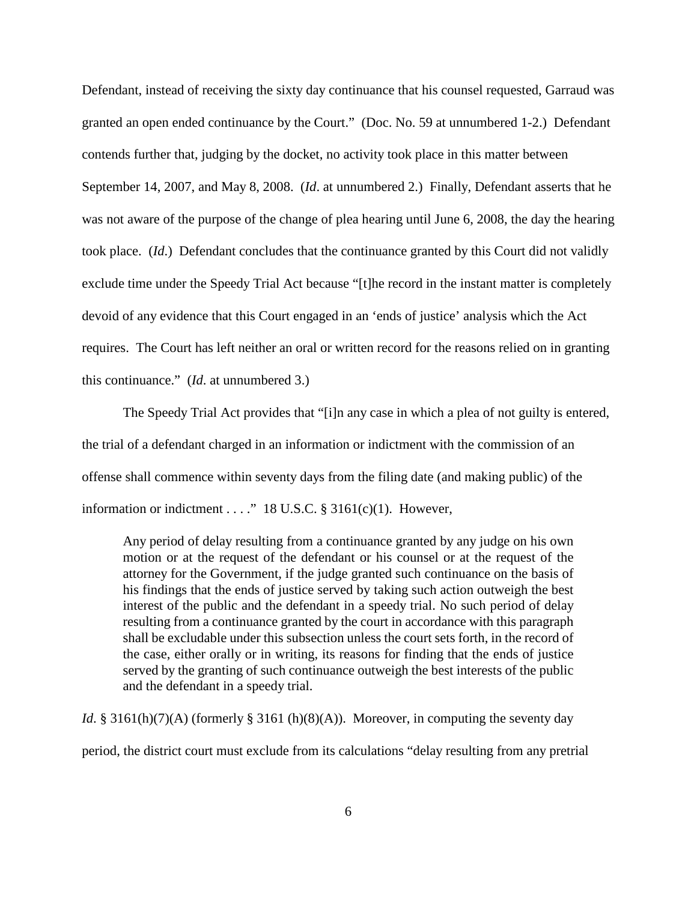Defendant, instead of receiving the sixty day continuance that his counsel requested, Garraud was granted an open ended continuance by the Court." (Doc. No. 59 at unnumbered 1-2.) Defendant contends further that, judging by the docket, no activity took place in this matter between September 14, 2007, and May 8, 2008. (*Id*. at unnumbered 2.) Finally, Defendant asserts that he was not aware of the purpose of the change of plea hearing until June 6, 2008, the day the hearing took place. (*Id*.) Defendant concludes that the continuance granted by this Court did not validly exclude time under the Speedy Trial Act because "[t]he record in the instant matter is completely devoid of any evidence that this Court engaged in an 'ends of justice' analysis which the Act requires. The Court has left neither an oral or written record for the reasons relied on in granting this continuance." (*Id*. at unnumbered 3.)

The Speedy Trial Act provides that "[i]n any case in which a plea of not guilty is entered, the trial of a defendant charged in an information or indictment with the commission of an offense shall commence within seventy days from the filing date (and making public) of the information or indictment . . . ." 18 U.S.C.  $\S$  3161(c)(1). However,

Any period of delay resulting from a continuance granted by any judge on his own motion or at the request of the defendant or his counsel or at the request of the attorney for the Government, if the judge granted such continuance on the basis of his findings that the ends of justice served by taking such action outweigh the best interest of the public and the defendant in a speedy trial. No such period of delay resulting from a continuance granted by the court in accordance with this paragraph shall be excludable under this subsection unless the court sets forth, in the record of the case, either orally or in writing, its reasons for finding that the ends of justice served by the granting of such continuance outweigh the best interests of the public and the defendant in a speedy trial.

*Id.* § 3161(h)(7)(A) (formerly § 3161 (h)(8)(A)). Moreover, in computing the seventy day period, the district court must exclude from its calculations "delay resulting from any pretrial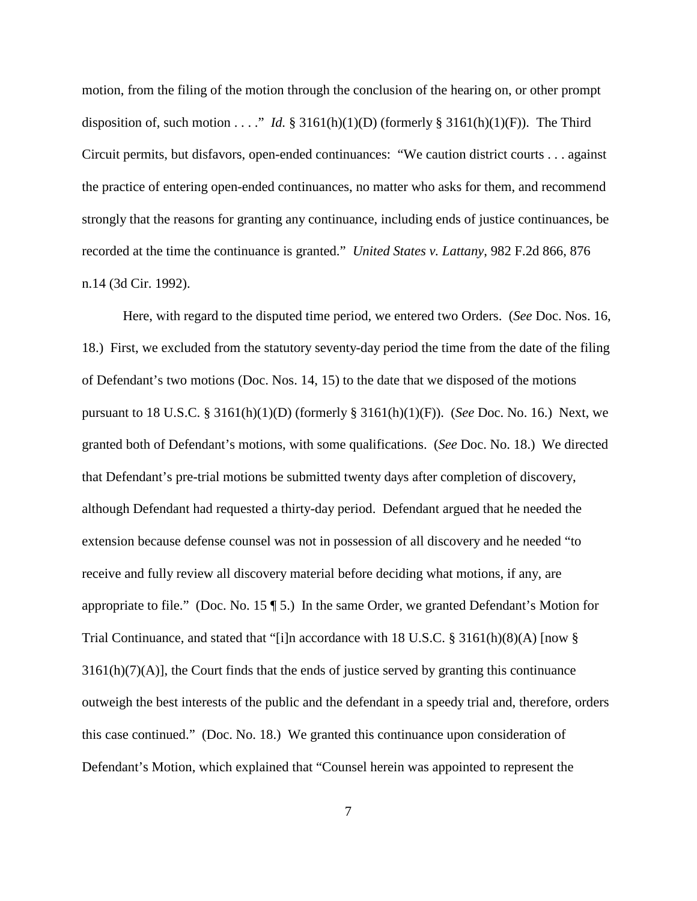motion, from the filing of the motion through the conclusion of the hearing on, or other prompt disposition of, such motion . . . ." *Id.*  $\S 3161(h)(1)(D)$  (formerly  $\S 3161(h)(1)(F)$ ). The Third Circuit permits, but disfavors, open-ended continuances: "We caution district courts . . . against the practice of entering open-ended continuances, no matter who asks for them, and recommend strongly that the reasons for granting any continuance, including ends of justice continuances, be recorded at the time the continuance is granted." *United States v. Lattany*, 982 F.2d 866, 876 n.14 (3d Cir. 1992).

Here, with regard to the disputed time period, we entered two Orders. (*See* Doc. Nos. 16, 18.) First, we excluded from the statutory seventy-day period the time from the date of the filing of Defendant's two motions (Doc. Nos. 14, 15) to the date that we disposed of the motions pursuant to 18 U.S.C. § 3161(h)(1)(D) (formerly § 3161(h)(1)(F)). (*See* Doc. No. 16.) Next, we granted both of Defendant's motions, with some qualifications. (*See* Doc. No. 18.) We directed that Defendant's pre-trial motions be submitted twenty days after completion of discovery, although Defendant had requested a thirty-day period. Defendant argued that he needed the extension because defense counsel was not in possession of all discovery and he needed "to receive and fully review all discovery material before deciding what motions, if any, are appropriate to file." (Doc. No. 15 ¶ 5.) In the same Order, we granted Defendant's Motion for Trial Continuance, and stated that "[i]n accordance with 18 U.S.C. § 3161(h)(8)(A) [now §  $3161(h)(7)(A)$ , the Court finds that the ends of justice served by granting this continuance outweigh the best interests of the public and the defendant in a speedy trial and, therefore, orders this case continued." (Doc. No. 18.) We granted this continuance upon consideration of Defendant's Motion, which explained that "Counsel herein was appointed to represent the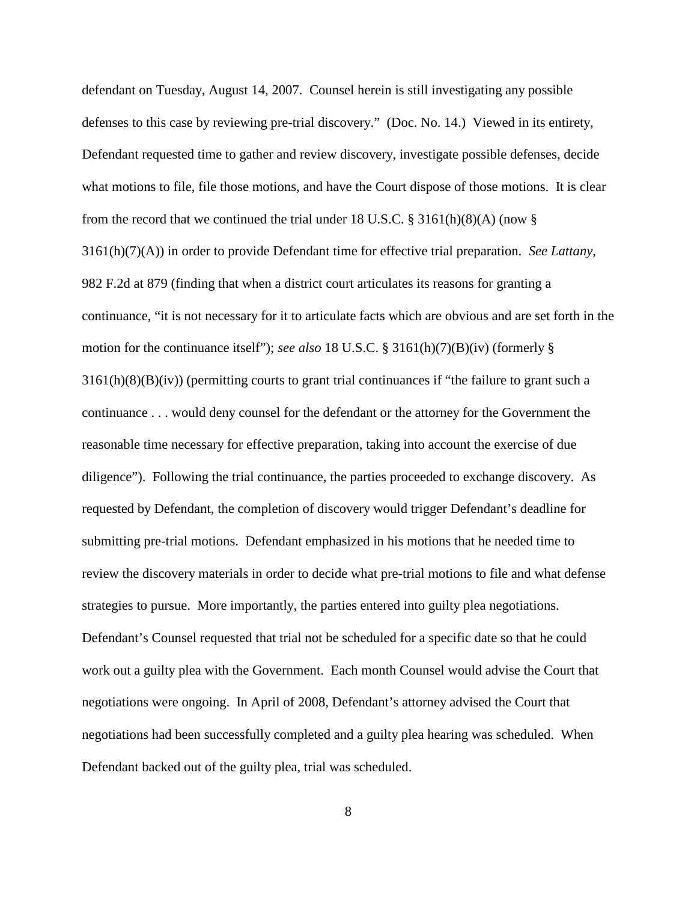defendant on Tuesday, August 14, 2007. Counsel herein is still investigating any possible defenses to this case by reviewing pre-trial discovery." (Doc. No. 14.) Viewed in its entirety, Defendant requested time to gather and review discovery, investigate possible defenses, decide what motions to file, file those motions, and have the Court dispose of those motions. It is clear from the record that we continued the trial under 18 U.S.C.  $\S$  3161(h)(8)(A) (now  $\S$ 3161(h)(7)(A)) in order to provide Defendant time for effective trial preparation. *See Lattany*, 982 F.2d at 879 (finding that when a district court articulates its reasons for granting a continuance, "it is not necessary for it to articulate facts which are obvious and are set forth in the motion for the continuance itself"); *see also* 18 U.S.C. § 3161(h)(7)(B)(iv) (formerly § 3161(h)(8)(B)(iv)) (permitting courts to grant trial continuances if "the failure to grant such a continuance . . . would deny counsel for the defendant or the attorney for the Government the reasonable time necessary for effective preparation, taking into account the exercise of due diligence"). Following the trial continuance, the parties proceeded to exchange discovery. As requested by Defendant, the completion of discovery would trigger Defendant's deadline for submitting pre-trial motions. Defendant emphasized in his motions that he needed time to review the discovery materials in order to decide what pre-trial motions to file and what defense strategies to pursue. More importantly, the parties entered into guilty plea negotiations. Defendant's Counsel requested that trial not be scheduled for a specific date so that he could work out a guilty plea with the Government. Each month Counsel would advise the Court that negotiations were ongoing. In April of 2008, Defendant's attorney advised the Court that negotiations had been successfully completed and a guilty plea hearing was scheduled. When Defendant backed out of the guilty plea, trial was scheduled.

8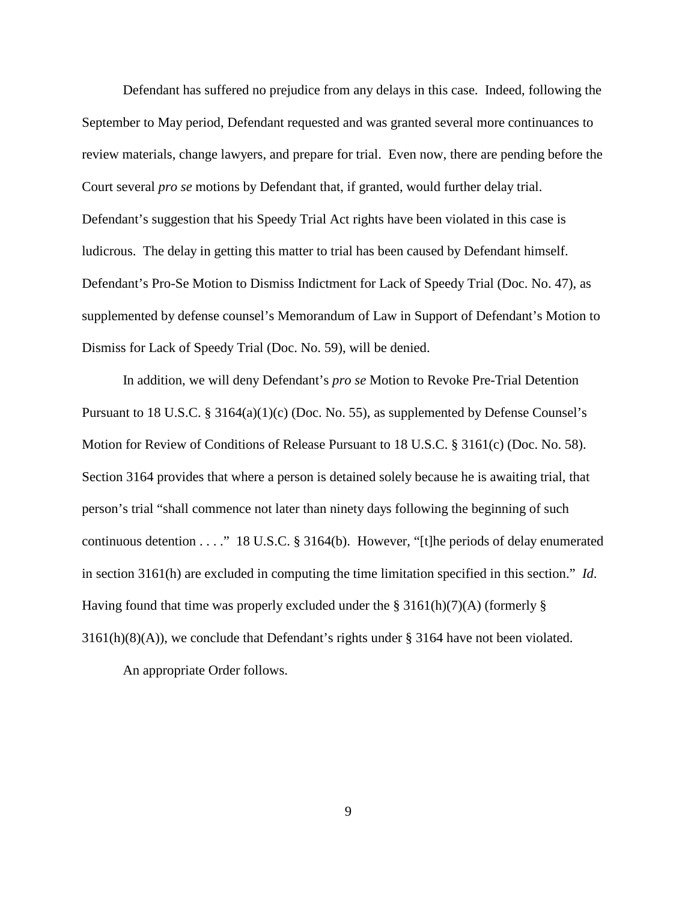Defendant has suffered no prejudice from any delays in this case. Indeed, following the September to May period, Defendant requested and was granted several more continuances to review materials, change lawyers, and prepare for trial. Even now, there are pending before the Court several *pro se* motions by Defendant that, if granted, would further delay trial. Defendant's suggestion that his Speedy Trial Act rights have been violated in this case is ludicrous. The delay in getting this matter to trial has been caused by Defendant himself. Defendant's Pro-Se Motion to Dismiss Indictment for Lack of Speedy Trial (Doc. No. 47), as supplemented by defense counsel's Memorandum of Law in Support of Defendant's Motion to Dismiss for Lack of Speedy Trial (Doc. No. 59), will be denied.

In addition, we will deny Defendant's *pro se* Motion to Revoke Pre-Trial Detention Pursuant to 18 U.S.C. § 3164(a)(1)(c) (Doc. No. 55), as supplemented by Defense Counsel's Motion for Review of Conditions of Release Pursuant to 18 U.S.C. § 3161(c) (Doc. No. 58). Section 3164 provides that where a person is detained solely because he is awaiting trial, that person's trial "shall commence not later than ninety days following the beginning of such continuous detention . . . ." 18 U.S.C. § 3164(b). However, "[t]he periods of delay enumerated in section 3161(h) are excluded in computing the time limitation specified in this section." *Id*. Having found that time was properly excluded under the § 3161(h)(7)(A) (formerly § 3161(h)(8)(A)), we conclude that Defendant's rights under § 3164 have not been violated.

An appropriate Order follows.